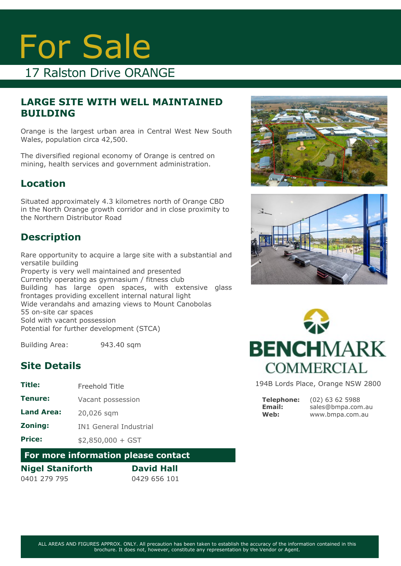# For Sale

17 Ralston Drive ORANGE

## **LARGE SITE WITH WELL MAINTAINED BUILDING**

Orange is the largest urban area in Central West New South Wales, population circa 42,500.

The diversified regional economy of Orange is centred on mining, health services and government administration.

#### **Location**

Situated approximately 4.3 kilometres north of Orange CBD in the North Orange growth corridor and in close proximity to the Northern Distributor Road

## **Description**

Rare opportunity to acquire a large site with a substantial and versatile building Property is very well maintained and presented Currently operating as gymnasium / fitness club Building has large open spaces, with extensive glass frontages providing excellent internal natural light Wide verandahs and amazing views to Mount Canobolas 55 on-site car spaces Sold with vacant possession Potential for further development (STCA)

Building Area: 943.40 sqm

#### **Site Details**

- **Title:** Freehold Title
- **Tenure:** Vacant possession
- **Land Area:** 20,026 sqm
- **Zoning:** IN1 General Industrial

**Price:**  $$2,850,000 + GST$ 

#### **For more information please contact**

**Nigel Staniforth** 0401 279 795

**David Hall** 0429 656 101







194B Lords Place, Orange NSW 2800

**Telephone: Email: Web:**

(02) 63 62 5988 sales@bmpa.com.au www.bmpa.com.au